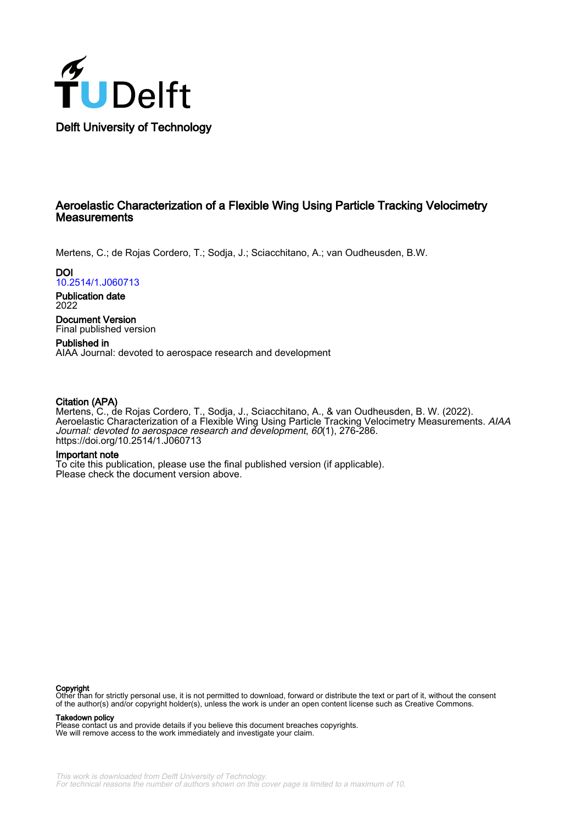

# Aeroelastic Characterization of a Flexible Wing Using Particle Tracking Velocimetry **Measurements**

Mertens, C.; de Rojas Cordero, T.; Sodja, J.; Sciacchitano, A.; van Oudheusden, B.W.

**DOI** [10.2514/1.J060713](https://doi.org/10.2514/1.J060713)

Publication date 2022

Document Version Final published version

Published in AIAA Journal: devoted to aerospace research and development

# Citation (APA)

Mertens, C., de Rojas Cordero, T., Sodja, J., Sciacchitano, A., & van Oudheusden, B. W. (2022). Aeroelastic Characterization of a Flexible Wing Using Particle Tracking Velocimetry Measurements. AIAA Journal: devoted to aerospace research and development, 60(1), 276-286. <https://doi.org/10.2514/1.J060713>

## Important note

To cite this publication, please use the final published version (if applicable). Please check the document version above.

**Copyright**<br>Other than for strictly personal use, it is not permitted to download, forward or distribute the text or part of it, without the consent of the author(s) and/or copyright holder(s), unless the work is under an open content license such as Creative Commons.

Takedown policy

Please contact us and provide details if you believe this document breaches copyrights. We will remove access to the work immediately and investigate your claim.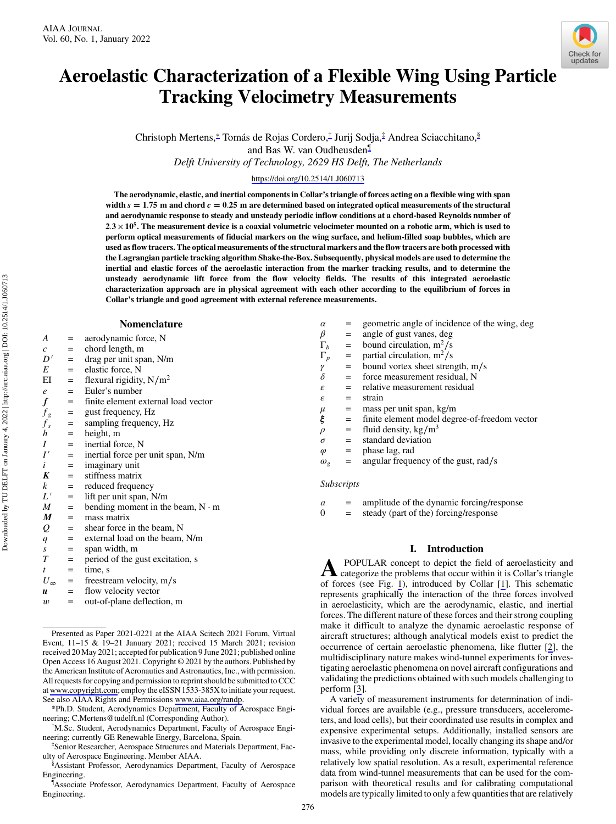

Christoph Mertens,<sup>∗</sup> Tomás de Rojas Cordero,† Jurij Sodja,‡ Andrea Sciacchitano,§ and Bas W. van Oudheusden¶

Delft University of Technology, 2629 HS Delft, The Netherlands

<https://doi.org/10.2514/1.J060713>

The aerodynamic, elastic, and inertial components in Collar's triangle of forces acting on a flexible wing with span width  $s = 1.75$  m and chord  $c = 0.25$  m are determined based on integrated optical measurements of the structural and aerodynamic response to steady and unsteady periodic inflow conditions at a chord-based Reynolds number of  $2.3 \times 10^5$ . The measurement device is a coaxial volumetric velocimeter mounted on a robotic arm, which is used to perform optical measurements of fiducial markers on the wing surface, and helium-filled soap bubbles, which are used as flow tracers. The optical measurements of the structural markers and the flow tracers are both processed with the Lagrangian particle tracking algorithm Shake-the-Box. Subsequently, physical models are used to determine the inertial and elastic forces of the aeroelastic interaction from the marker tracking results, and to determine the unsteady aerodynamic lift force from the flow velocity fields. The results of this integrated aeroelastic characterization approach are in physical agreement with each other according to the equilibrium of forces in Collar's triangle and good agreement with external reference measurements.

#### Nomenclature

- $A =$  aerodynamic force, N
- $c =$  chord length, m
- $D'$  = drag per unit span, N/m<br>  $E$  = elastic force, N
- = elastic force, N
- EI = flexural rigidity,  $N/m^2$
- $e$  = Euler's number
- $f =$  finite element external load vector
- $f_g$  = gust frequency, Hz
- $f_s$  = sampling frequency, Hz<br>h = height, m
	- height, m
	-
- $I'$  = inertial force, N<br> $I'$  = inertial force pe = inertial force per unit span, N/m
- $i = \text{imaginary unit}$
- $K =$  stiffness matrix
- $k =$  reduced frequency
- $L'$  = lift per unit span, N/m
- $M =$  bending moment in the beam, N ⋅ m
- $M =$  mass matrix
- $Q =$  shear force in the beam, N
- $q =$  external load on the beam, N/m
- $s =$  span width, m<br>  $T =$  period of the g
- = period of the gust excitation, s
- $t = \text{time, s}$ <br> $U_{\infty} = \text{feestre}$
- $=$  freestream velocity, m/s
- $u =$  flow velocity vector
- $w =$  out-of-plane deflection, m

\*Ph.D. Student, Aerodynamics Department, Faculty of Aerospace Engineering; C.Mertens@tudelft.nl (Corresponding Author).

M.Sc. Student, Aerodynamics Department, Faculty of Aerospace Engineering; currently GE Renewable Energy, Barcelona, Spain. ‡

Senior Researcher, Aerospace Structures and Materials Department, Faculty of Aerospace Engineering. Member AIAA.

§ Assistant Professor, Aerodynamics Department, Faculty of Aerospace Engineering.

¶ Associate Professor, Aerodynamics Department, Faculty of Aerospace Engineering.

| $\alpha$           |           | geometric angle of incidence of the wing, deg |  |  |  |
|--------------------|-----------|-----------------------------------------------|--|--|--|
| $\beta$            | $=$       | angle of gust vanes, deg                      |  |  |  |
| $\Gamma_b$         | $=$       | bound circulation, $m^2/s$                    |  |  |  |
| $\Gamma_p$         | $\quad =$ | partial circulation, $m^2/s$                  |  |  |  |
| γ                  | $=$       | bound vortex sheet strength, m/s              |  |  |  |
| $\delta$           | $=$       | force measurement residual, N                 |  |  |  |
| $\varepsilon$      | $=$       | relative measurement residual                 |  |  |  |
| ε                  | $=$       | strain                                        |  |  |  |
|                    |           | $=$ mass per unit span, kg/m                  |  |  |  |
| $_\xi^\mu$         | $=$       | finite element model degree-of-freedom vector |  |  |  |
| $\rho$             | $=$       | fluid density, $\text{kg/m}^3$                |  |  |  |
| $\sigma$           |           | $=$ standard deviation                        |  |  |  |
| $\varphi$          | $=$       | phase lag, rad                                |  |  |  |
| $\omega_{\varrho}$ | $=$       | angular frequency of the gust, rad/s          |  |  |  |
|                    |           |                                               |  |  |  |
| <i>Subscripts</i>  |           |                                               |  |  |  |
|                    |           |                                               |  |  |  |

 $a =$  amplitude of the dynamic forcing/response

 $0 =$  steady (part of the) forcing/response

## I. Introduction

**A** POPULAR concept to depict the field of aeroelasticity and categorize the problems that occur within it is Collar's triangle of forces (see Fig. [1](#page-2-0)), introduced by Collar [[1](#page-10-0)]. This schematic represents graphically the interaction of the three forces involved in aeroelasticity, which are the aerodynamic, elastic, and inertial forces. The different nature of these forces and their strong coupling make it difficult to analyze the dynamic aeroelastic response of aircraft structures; although analytical models exist to predict the occurrence of certain aeroelastic phenomena, like flutter [\[2\]](#page-10-0), the multidisciplinary nature makes wind-tunnel experiments for investigating aeroelastic phenomena on novel aircraft configurations and validating the predictions obtained with such models challenging to perform [[3](#page-10-0)].

A variety of measurement instruments for determination of individual forces are available (e.g., pressure transducers, accelerometers, and load cells), but their coordinated use results in complex and expensive experimental setups. Additionally, installed sensors are invasive to the experimental model, locally changing its shape and/or mass, while providing only discrete information, typically with a relatively low spatial resolution. As a result, experimental reference data from wind-tunnel measurements that can be used for the comparison with theoretical results and for calibrating computational models are typically limited to only a few quantities that are relatively



Presented as Paper 2021-0221 at the AIAA Scitech 2021 Forum, Virtual Event, 11–15 & 19–21 January 2021; received 15 March 2021; revision received 20 May 2021; accepted for publication 9 June 2021; published online Open Access 16 August 2021. Copyright © 2021 by the authors. Published by the American Institute of Aeronautics and Astronautics, Inc., with permission. All requests for copying and permission to reprint should be submitted to CCC at [www.copyright.com;](www.copyright.com) employ the eISSN 1533-385X to initiate your request. See also AIAA Rights and Permissions [www.aiaa.org/randp.](www.aiaa.org/randp)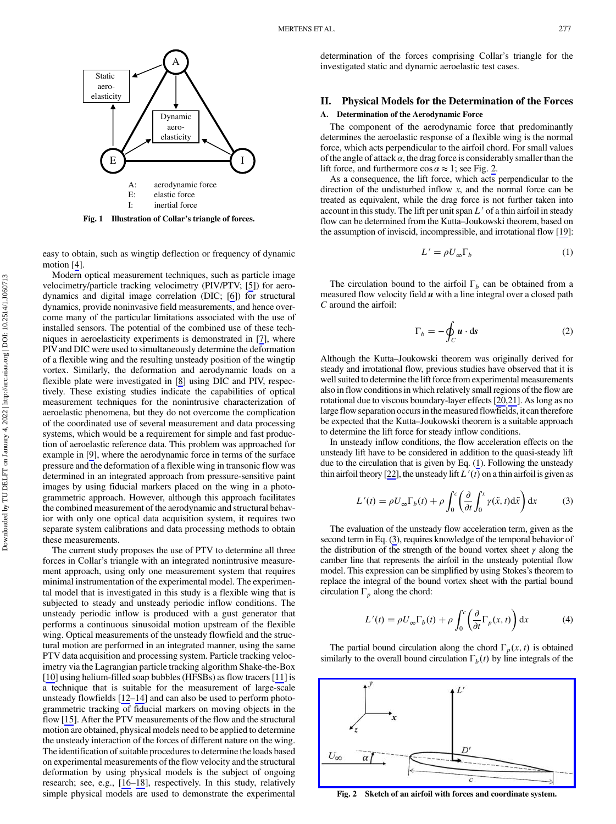<span id="page-2-0"></span>

easy to obtain, such as wingtip deflection or frequency of dynamic motion [[4](#page-10-0)].

Modern optical measurement techniques, such as particle image velocimetry/particle tracking velocimetry (PIV/PTV; [[5](#page-11-0)]) for aerodynamics and digital image correlation (DIC; [\[6\]](#page-11-0)) for structural dynamics, provide noninvasive field measurements, and hence overcome many of the particular limitations associated with the use of installed sensors. The potential of the combined use of these techniques in aeroelasticity experiments is demonstrated in [\[7\]](#page-11-0), where PIVand DIC were used to simultaneously determine the deformation of a flexible wing and the resulting unsteady position of the wingtip vortex. Similarly, the deformation and aerodynamic loads on a flexible plate were investigated in [\[8\]](#page-11-0) using DIC and PIV, respectively. These existing studies indicate the capabilities of optical measurement techniques for the nonintrusive characterization of aeroelastic phenomena, but they do not overcome the complication of the coordinated use of several measurement and data processing systems, which would be a requirement for simple and fast production of aeroelastic reference data. This problem was approached for example in [[9](#page-11-0)], where the aerodynamic force in terms of the surface pressure and the deformation of a flexible wing in transonic flow was determined in an integrated approach from pressure-sensitive paint images by using fiducial markers placed on the wing in a photogrammetric approach. However, although this approach facilitates the combined measurement of the aerodynamic and structural behavior with only one optical data acquisition system, it requires two separate system calibrations and data processing methods to obtain these measurements.

The current study proposes the use of PTV to determine all three forces in Collar's triangle with an integrated nonintrusive measurement approach, using only one measurement system that requires minimal instrumentation of the experimental model. The experimental model that is investigated in this study is a flexible wing that is subjected to steady and unsteady periodic inflow conditions. The unsteady periodic inflow is produced with a gust generator that performs a continuous sinusoidal motion upstream of the flexible wing. Optical measurements of the unsteady flowfield and the structural motion are performed in an integrated manner, using the same PTV data acquisition and processing system. Particle tracking velocimetry via the Lagrangian particle tracking algorithm Shake-the-Box [\[10](#page-11-0)] using helium-filled soap bubbles (HFSBs) as flow tracers [\[11](#page-11-0)] is a technique that is suitable for the measurement of large-scale unsteady flowfields [[12](#page-11-0)–[14](#page-11-0)] and can also be used to perform photogrammetric tracking of fiducial markers on moving objects in the flow [\[15](#page-11-0)]. After the PTV measurements of the flow and the structural motion are obtained, physical models need to be applied to determine the unsteady interaction of the forces of different nature on the wing. The identification of suitable procedures to determine the loads based on experimental measurements of the flow velocity and the structural deformation by using physical models is the subject of ongoing research; see, e.g., [\[16](#page-11-0)–[18\]](#page-11-0), respectively. In this study, relatively simple physical models are used to demonstrate the experimental

determination of the forces comprising Collar's triangle for the investigated static and dynamic aeroelastic test cases.

## II. Physical Models for the Determination of the Forces

## A. Determination of the Aerodynamic Force

The component of the aerodynamic force that predominantly determines the aeroelastic response of a flexible wing is the normal force, which acts perpendicular to the airfoil chord. For small values of the angle of attack  $\alpha$ , the drag force is considerably smaller than the lift force, and furthermore  $\cos \alpha \approx 1$ ; see Fig. 2.

As a consequence, the lift force, which acts perpendicular to the direction of the undisturbed inflow  $x$ , and the normal force can be treated as equivalent, while the drag force is not further taken into account in this study. The lift per unit span  $L'$  of a thin airfoil in steady flow can be determined from the Kutta–Joukowski theorem, based on the assumption of inviscid, incompressible, and irrotational flow [[19\]](#page-11-0):

$$
L' = \rho U_{\infty} \Gamma_b \tag{1}
$$

The circulation bound to the airfoil  $\Gamma_b$  can be obtained from a measured flow velocity field  $u$  with a line integral over a closed path C around the airfoil:

$$
\Gamma_b = -\oint_C \boldsymbol{u} \cdot \mathrm{d}\boldsymbol{s} \tag{2}
$$

Although the Kutta–Joukowski theorem was originally derived for steady and irrotational flow, previous studies have observed that it is well suited to determine the lift force from experimental measurements also in flow conditions in which relatively small regions of the flow are rotational due to viscous boundary-layer effects [[20](#page-11-0),[21](#page-11-0)]. As long as no large flow separation occurs in the measured flowfields, it can therefore be expected that the Kutta–Joukowski theorem is a suitable approach to determine the lift force for steady inflow conditions.

In unsteady inflow conditions, the flow acceleration effects on the unsteady lift have to be considered in addition to the quasi-steady lift due to the circulation that is given by Eq. (1). Following the unsteady thin airfoil theory [\[22](#page-11-0)], the unsteady lift  $L'(t)$  on a thin airfoil is given as

$$
L'(t) = \rho U_{\infty} \Gamma_b(t) + \rho \int_0^c \left( \frac{\partial}{\partial t} \int_0^x \gamma(\tilde{x}, t) d\tilde{x} \right) dx \tag{3}
$$

The evaluation of the unsteady flow acceleration term, given as the second term in Eq. (3), requires knowledge of the temporal behavior of the distribution of the strength of the bound vortex sheet  $\gamma$  along the camber line that represents the airfoil in the unsteady potential flow model. This expression can be simplified by using Stokes's theorem to replace the integral of the bound vortex sheet with the partial bound circulation  $\Gamma_p$  along the chord:

$$
L'(t) = \rho U_{\infty} \Gamma_b(t) + \rho \int_0^c \left( \frac{\partial}{\partial t} \Gamma_p(x, t) \right) dx \tag{4}
$$

The partial bound circulation along the chord  $\Gamma_p(x, t)$  is obtained similarly to the overall bound circulation  $\Gamma_b(t)$  by line integrals of the



Fig. 2 Sketch of an airfoil with forces and coordinate system.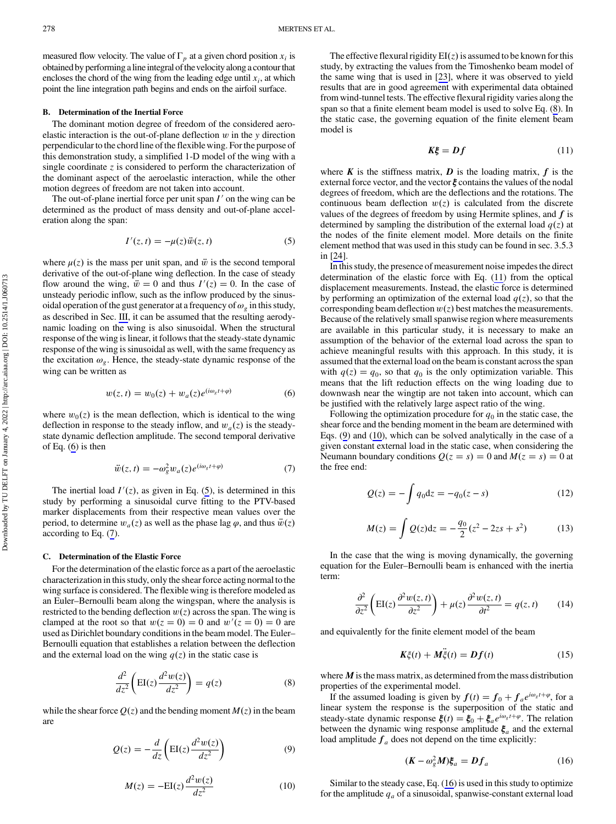<span id="page-3-0"></span>measured flow velocity. The value of  $\Gamma_p$  at a given chord position  $x_i$  is obtained by performing a line integral of the velocity along a contour that encloses the chord of the wing from the leading edge until  $x_i$ , at which point the line integration path begins and ends on the airfoil surface.

#### B. Determination of the Inertial Force

The dominant motion degree of freedom of the considered aeroelastic interaction is the out-of-plane deflection  $w$  in the  $y$  direction perpendicular to the chord line of the flexible wing. For the purpose of this demonstration study, a simplified 1-D model of the wing with a single coordinate  $z$  is considered to perform the characterization of the dominant aspect of the aeroelastic interaction, while the other motion degrees of freedom are not taken into account.

The out-of-plane inertial force per unit span  $I'$  on the wing can be determined as the product of mass density and out-of-plane acceleration along the span:

$$
I'(z,t) = -\mu(z)\ddot{w}(z,t)
$$
 (5)

where  $\mu(z)$  is the mass per unit span, and  $\ddot{w}$  is the second temporal derivative of the out-of-plane wing deflection. In the case of steady flow around the wing,  $\ddot{w} = 0$  and thus  $I'(z) = 0$ . In the case of unsteady periodic inflow, such as the inflow produced by the sinusoidal operation of the gust generator at a frequency of  $\omega_g$  in this study, as described in Sec. [III,](#page-4-0) it can be assumed that the resulting aerodynamic loading on the wing is also sinusoidal. When the structural response of the wing is linear, it follows that the steady-state dynamic response of the wing is sinusoidal as well, with the same frequency as the excitation  $\omega_g$ . Hence, the steady-state dynamic response of the wing can be written as

$$
w(z, t) = w_0(z) + w_a(z)e^{(i\omega_g t + \varphi)}
$$
 (6)

where  $w_0(z)$  is the mean deflection, which is identical to the wing deflection in response to the steady inflow, and  $w_a(z)$  is the steadystate dynamic deflection amplitude. The second temporal derivative of Eq. (6) is then

$$
\ddot{w}(z,t) = -\omega_g^2 w_a(z) e^{(i\omega_g t + \varphi)} \tag{7}
$$

The inertial load  $I'(z)$ , as given in Eq. (5), is determined in this study by performing a sinusoidal curve fitting to the PTV-based marker displacements from their respective mean values over the period, to determine  $w_a(z)$  as well as the phase lag  $\varphi$ , and thus  $\ddot{w}(z)$ according to Eq. (7).

#### C. Determination of the Elastic Force

For the determination of the elastic force as a part of the aeroelastic characterization in this study, only the shear force acting normal to the wing surface is considered. The flexible wing is therefore modeled as an Euler–Bernoulli beam along the wingspan, where the analysis is restricted to the bending deflection  $w(z)$  across the span. The wing is clamped at the root so that  $w(z = 0) = 0$  and  $w'(z = 0) = 0$  are used as Dirichlet boundary conditions in the beam model. The Euler– Bernoulli equation that establishes a relation between the deflection and the external load on the wing  $q(z)$  in the static case is

$$
\frac{d^2}{dz^2} \left( \text{EI}(z) \frac{d^2 w(z)}{dz^2} \right) = q(z) \tag{8}
$$

while the shear force  $Q(z)$  and the bending moment  $M(z)$  in the beam are

$$
Q(z) = -\frac{d}{dz} \left( EI(z) \frac{d^2 w(z)}{dz^2} \right)
$$
 (9)

$$
M(z) = -\mathrm{EI}(z)\frac{d^2w(z)}{dz^2}
$$
 (10)

The effective flexural rigidity  $EI(z)$  is assumed to be known for this study, by extracting the values from the Timoshenko beam model of the same wing that is used in [\[23](#page-11-0)], where it was observed to yield results that are in good agreement with experimental data obtained from wind-tunnel tests. The effective flexural rigidity varies along the span so that a finite element beam model is used to solve Eq. (8). In the static case, the governing equation of the finite element beam model is

$$
K\xi = Df \tag{11}
$$

where  $\boldsymbol{K}$  is the stiffness matrix,  $\boldsymbol{D}$  is the loading matrix,  $\boldsymbol{f}$  is the external force vector, and the vector  $\xi$  contains the values of the nodal degrees of freedom, which are the deflections and the rotations. The continuous beam deflection  $w(z)$  is calculated from the discrete values of the degrees of freedom by using Hermite splines, and  $f$  is determined by sampling the distribution of the external load  $q(z)$  at the nodes of the finite element model. More details on the finite element method that was used in this study can be found in sec. 3.5.3 in [[24](#page-11-0)].

In this study, the presence of measurement noise impedes the direct determination of the elastic force with Eq. (11) from the optical displacement measurements. Instead, the elastic force is determined by performing an optimization of the external load  $q(z)$ , so that the corresponding beam deflection  $w(z)$  best matches the measurements. Because of the relatively small spanwise region where measurements are available in this particular study, it is necessary to make an assumption of the behavior of the external load across the span to achieve meaningful results with this approach. In this study, it is assumed that the external load on the beam is constant across the span with  $q(z) = q_0$ , so that  $q_0$  is the only optimization variable. This means that the lift reduction effects on the wing loading due to downwash near the wingtip are not taken into account, which can be justified with the relatively large aspect ratio of the wing.

Following the optimization procedure for  $q_0$  in the static case, the shear force and the bending moment in the beam are determined with Eqs. (9) and (10), which can be solved analytically in the case of a given constant external load in the static case, when considering the Neumann boundary conditions  $Q(z = s) = 0$  and  $M(z = s) = 0$  at the free end:

$$
Q(z) = -\int q_0 dz = -q_0(z - s)
$$
 (12)

$$
M(z) = \int Q(z)dz = -\frac{q_0}{2}(z^2 - 2zs + s^2)
$$
 (13)

In the case that the wing is moving dynamically, the governing equation for the Euler–Bernoulli beam is enhanced with the inertia term:

$$
\frac{\partial^2}{\partial z^2} \left( \text{EI}(z) \frac{\partial^2 w(z, t)}{\partial z^2} \right) + \mu(z) \frac{\partial^2 w(z, t)}{\partial t^2} = q(z, t) \tag{14}
$$

and equivalently for the finite element model of the beam

$$
\mathbf{K}\xi(t) + \mathbf{M}\ddot{\xi}(t) = \mathbf{D}f(t) \tag{15}
$$

where  $M$  is the mass matrix, as determined from the mass distribution properties of the experimental model.

If the assumed loading is given by  $f(t) = f_0 + \int_a^b e^{i\omega_s t + \varphi}$ , for a linear system the response is the superposition of the static and steady-state dynamic response  $\xi(t) = \xi_0 + \xi_a e^{i\omega_g t + \varphi}$ . The relation between the dynamic wing response amplitude  $\xi_a$  and the external load amplitude  $f_a$  does not depend on the time explicitly:

$$
(\mathbf{K} - \omega_g^2 \mathbf{M})\mathbf{\xi}_a = \mathbf{D}f_a \tag{16}
$$

Similar to the steady case, Eq. (16) is used in this study to optimize for the amplitude  $q_a$  of a sinusoidal, spanwise-constant external load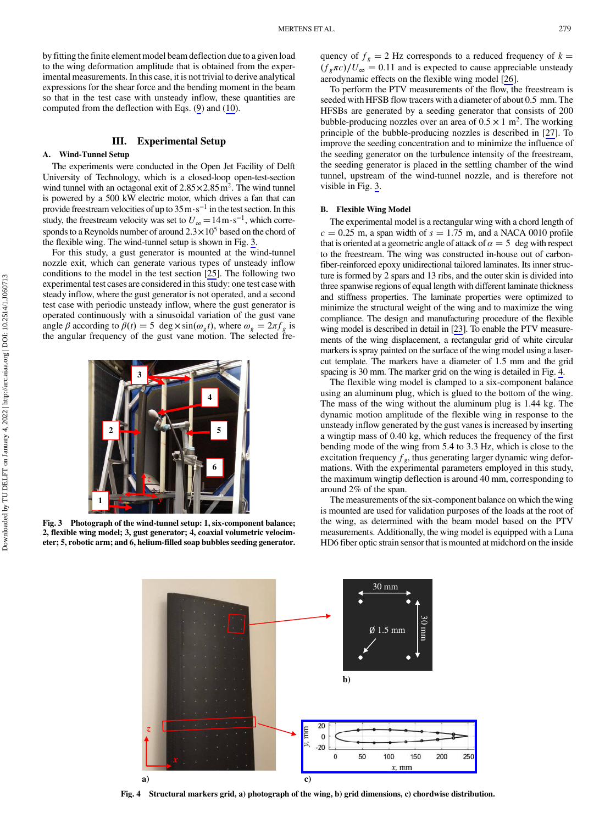<span id="page-4-0"></span>by fitting the finite element model beam deflection due to a given load to the wing deformation amplitude that is obtained from the experimental measurements. In this case, it is not trivial to derive analytical expressions for the shear force and the bending moment in the beam so that in the test case with unsteady inflow, these quantities are computed from the deflection with Eqs. ([9](#page-3-0)) and [\(10](#page-3-0)).

## III. Experimental Setup

## A. Wind-Tunnel Setup

The experiments were conducted in the Open Jet Facility of Delft University of Technology, which is a closed-loop open-test-section wind tunnel with an octagonal exit of  $2.85 \times 2.85$  m<sup>2</sup>. The wind tunnel is powered by a 500 kW electric motor, which drives a fan that can provide freestream velocities of up to 35m⋅s<sup>−</sup><sup>1</sup> in the test section. In this study, the freestream velocity was set to  $U_{\infty} = 14 \,\mathrm{m \cdot s^{-1}}$ , which corresponds to a Reynolds number of around  $2.3 \times 10^5$  based on the chord of the flexible wing. The wind-tunnel setup is shown in Fig. 3.

For this study, a gust generator is mounted at the wind-tunnel nozzle exit, which can generate various types of unsteady inflow conditions to the model in the test section [[25\]](#page-11-0). The following two experimental test cases are considered in this study: one test case with steady inflow, where the gust generator is not operated, and a second test case with periodic unsteady inflow, where the gust generator is operated continuously with a sinusoidal variation of the gust vane angle β according to  $\beta(t) = 5 \text{ deg } \times \sin(\omega_g t)$ , where  $\omega_g = 2\pi f_g$  is the angular frequency of the gust vane motion. The selected fre-



quency of  $f_g = 2$  Hz corresponds to a reduced frequency of  $k =$  $(f_g \pi c)/U_\infty = 0.11$  and is expected to cause appreciable unsteady aerodynamic effects on the flexible wing model [[26\]](#page-11-0).

To perform the PTV measurements of the flow, the freestream is seeded with HFSB flow tracers with a diameter of about 0.5 mm. The HFSBs are generated by a seeding generator that consists of 200 bubble-producing nozzles over an area of  $0.5 \times 1$  m<sup>2</sup>. The working principle of the bubble-producing nozzles is described in [\[27](#page-11-0)]. To improve the seeding concentration and to minimize the influence of the seeding generator on the turbulence intensity of the freestream, the seeding generator is placed in the settling chamber of the wind tunnel, upstream of the wind-tunnel nozzle, and is therefore not visible in Fig. 3.

## B. Flexible Wing Model

The experimental model is a rectangular wing with a chord length of  $c = 0.25$  m, a span width of  $s = 1.75$  m, and a NACA 0010 profile that is oriented at a geometric angle of attack of  $\alpha = 5$  deg with respect to the freestream. The wing was constructed in-house out of carbonfiber-reinforced epoxy unidirectional tailored laminates. Its inner structure is formed by 2 spars and 13 ribs, and the outer skin is divided into three spanwise regions of equal length with different laminate thickness and stiffness properties. The laminate properties were optimized to minimize the structural weight of the wing and to maximize the wing compliance. The design and manufacturing procedure of the flexible wing model is described in detail in [\[23\]](#page-11-0). To enable the PTV measurements of the wing displacement, a rectangular grid of white circular markers is spray painted on the surface of the wing model using a lasercut template. The markers have a diameter of 1.5 mm and the grid spacing is 30 mm. The marker grid on the wing is detailed in Fig. 4.

The flexible wing model is clamped to a six-component balance using an aluminum plug, which is glued to the bottom of the wing. The mass of the wing without the aluminum plug is 1.44 kg. The dynamic motion amplitude of the flexible wing in response to the unsteady inflow generated by the gust vanes is increased by inserting a wingtip mass of 0.40 kg, which reduces the frequency of the first bending mode of the wing from 5.4 to 3.3 Hz, which is close to the excitation frequency  $f_g$ , thus generating larger dynamic wing deformations. With the experimental parameters employed in this study, the maximum wingtip deflection is around 40 mm, corresponding to around 2% of the span.

The measurements of the six-component balance on which the wing is mounted are used for validation purposes of the loads at the root of the wing, as determined with the beam model based on the PTV measurements. Additionally, the wing model is equipped with a Luna HD6 fiber optic strain sensor that is mounted at midchord on the inside





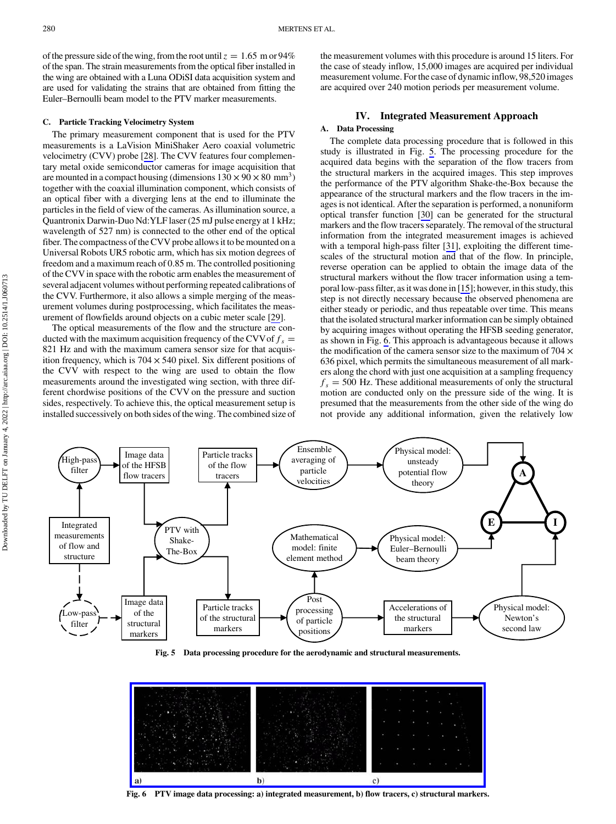<span id="page-5-0"></span>of the pressure side of the wing, from the root until  $z = 1.65$  m or 94% of the span. The strain measurements from the optical fiber installed in the wing are obtained with a Luna ODiSI data acquisition system and are used for validating the strains that are obtained from fitting the Euler–Bernoulli beam model to the PTV marker measurements.

### C. Particle Tracking Velocimetry System

The primary measurement component that is used for the PTV measurements is a LaVision MiniShaker Aero coaxial volumetric velocimetry (CVV) probe [[28\]](#page-11-0). The CVV features four complementary metal oxide semiconductor cameras for image acquisition that are mounted in a compact housing (dimensions  $130 \times 90 \times 80$  mm<sup>3</sup>) together with the coaxial illumination component, which consists of an optical fiber with a diverging lens at the end to illuminate the particles in the field of view of the cameras. As illumination source, a Quantronix Darwin-Duo Nd:YLF laser (25 mJ pulse energy at 1 kHz; wavelength of 527 nm) is connected to the other end of the optical fiber. The compactness of the CVV probe allows it to be mounted on a Universal Robots UR5 robotic arm, which has six motion degrees of freedom and a maximum reach of 0.85 m. The controlled positioning of the CVVin space with the robotic arm enables the measurement of several adjacent volumes without performing repeated calibrations of the CVV. Furthermore, it also allows a simple merging of the measurement volumes during postprocessing, which facilitates the measurement of flowfields around objects on a cubic meter scale [\[29](#page-11-0)].

The optical measurements of the flow and the structure are conducted with the maximum acquisition frequency of the CVV of  $f_s =$ 821 Hz and with the maximum camera sensor size for that acquisition frequency, which is  $704 \times 540$  pixel. Six different positions of the CVV with respect to the wing are used to obtain the flow measurements around the investigated wing section, with three different chordwise positions of the CVV on the pressure and suction sides, respectively. To achieve this, the optical measurement setup is installed successively on both sides of the wing. The combined size of the measurement volumes with this procedure is around 15 liters. For the case of steady inflow, 15,000 images are acquired per individual measurement volume. For the case of dynamic inflow, 98,520 images are acquired over 240 motion periods per measurement volume.

## IV. Integrated Measurement Approach

#### A. Data Processing

The complete data processing procedure that is followed in this study is illustrated in Fig. 5. The processing procedure for the acquired data begins with the separation of the flow tracers from the structural markers in the acquired images. This step improves the performance of the PTV algorithm Shake-the-Box because the appearance of the structural markers and the flow tracers in the images is not identical. After the separation is performed, a nonuniform optical transfer function [[30\]](#page-11-0) can be generated for the structural markers and the flow tracers separately. The removal of the structural information from the integrated measurement images is achieved with a temporal high-pass filter [[31\]](#page-11-0), exploiting the different timescales of the structural motion and that of the flow. In principle, reverse operation can be applied to obtain the image data of the structural markers without the flow tracer information using a temporal low-pass filter, as it was done in [\[15](#page-11-0)]; however, in this study, this step is not directly necessary because the observed phenomena are either steady or periodic, and thus repeatable over time. This means that the isolated structural marker information can be simply obtained by acquiring images without operating the HFSB seeding generator, as shown in Fig. 6. This approach is advantageous because it allows the modification of the camera sensor size to the maximum of  $704 \times$ 636 pixel, which permits the simultaneous measurement of all markers along the chord with just one acquisition at a sampling frequency  $f_s = 500$  Hz. These additional measurements of only the structural motion are conducted only on the pressure side of the wing. It is presumed that the measurements from the other side of the wing do not provide any additional information, given the relatively low



Fig. 5 Data processing procedure for the aerodynamic and structural measurements.



Fig. 6 PTV image data processing: a) integrated measurement, b) flow tracers, c) structural markers.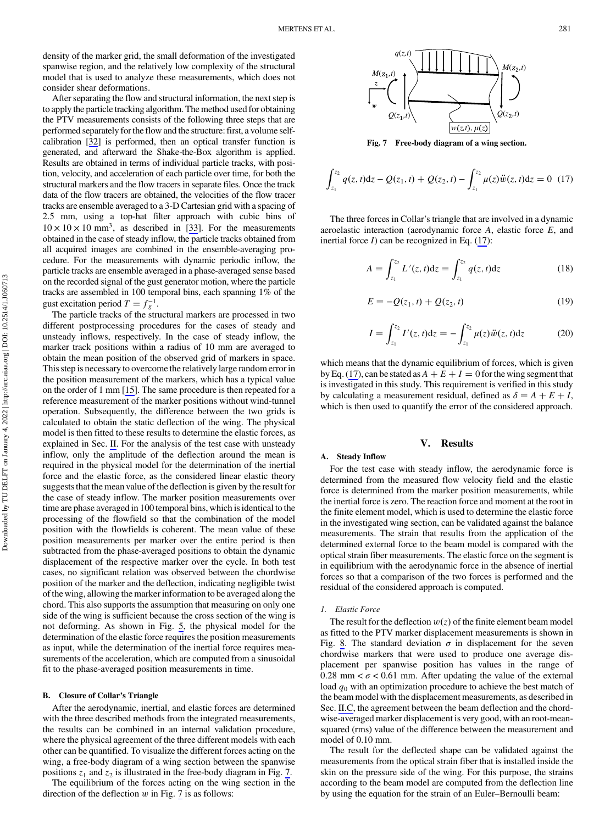density of the marker grid, the small deformation of the investigated spanwise region, and the relatively low complexity of the structural model that is used to analyze these measurements, which does not consider shear deformations.

After separating the flow and structural information, the next step is to apply the particle tracking algorithm. The method used for obtaining the PTV measurements consists of the following three steps that are performed separately for the flow and the structure: first, a volume selfcalibration [\[32](#page-11-0)] is performed, then an optical transfer function is generated, and afterward the Shake-the-Box algorithm is applied. Results are obtained in terms of individual particle tracks, with position, velocity, and acceleration of each particle over time, for both the structural markers and the flow tracers in separate files. Once the track data of the flow tracers are obtained, the velocities of the flow tracer tracks are ensemble averaged to a 3-D Cartesian grid with a spacing of 2.5 mm, using a top-hat filter approach with cubic bins of  $10 \times 10 \times 10$  mm<sup>3</sup>, as described in [\[33](#page-11-0)]. For the measurements obtained in the case of steady inflow, the particle tracks obtained from all acquired images are combined in the ensemble-averaging procedure. For the measurements with dynamic periodic inflow, the particle tracks are ensemble averaged in a phase-averaged sense based on the recorded signal of the gust generator motion, where the particle tracks are assembled in 100 temporal bins, each spanning 1% of the gust excitation period  $T = f_g^{-1}$ .

The particle tracks of the structural markers are processed in two different postprocessing procedures for the cases of steady and unsteady inflows, respectively. In the case of steady inflow, the marker track positions within a radius of 10 mm are averaged to obtain the mean position of the observed grid of markers in space. This step is necessary to overcome the relatively large random error in the position measurement of the markers, which has a typical value on the order of 1 mm [[15\]](#page-11-0). The same procedure is then repeated for a reference measurement of the marker positions without wind-tunnel operation. Subsequently, the difference between the two grids is calculated to obtain the static deflection of the wing. The physical model is then fitted to these results to determine the elastic forces, as explained in Sec. [II](#page-2-0). For the analysis of the test case with unsteady inflow, only the amplitude of the deflection around the mean is required in the physical model for the determination of the inertial force and the elastic force, as the considered linear elastic theory suggests that the mean value of the deflection is given by the result for the case of steady inflow. The marker position measurements over time are phase averaged in 100 temporal bins, which is identical to the processing of the flowfield so that the combination of the model position with the flowfields is coherent. The mean value of these position measurements per marker over the entire period is then subtracted from the phase-averaged positions to obtain the dynamic displacement of the respective marker over the cycle. In both test cases, no significant relation was observed between the chordwise position of the marker and the deflection, indicating negligible twist of the wing, allowing the marker information to be averaged along the chord. This also supports the assumption that measuring on only one side of the wing is sufficient because the cross section of the wing is not deforming. As shown in Fig. [5](#page-5-0), the physical model for the determination of the elastic force requires the position measurements as input, while the determination of the inertial force requires measurements of the acceleration, which are computed from a sinusoidal fit to the phase-averaged position measurements in time.

#### B. Closure of Collar's Triangle

After the aerodynamic, inertial, and elastic forces are determined with the three described methods from the integrated measurements, the results can be combined in an internal validation procedure, where the physical agreement of the three different models with each other can be quantified. To visualize the different forces acting on the wing, a free-body diagram of a wing section between the spanwise positions  $z_1$  and  $z_2$  is illustrated in the free-body diagram in Fig. 7.

The equilibrium of the forces acting on the wing section in the direction of the deflection  $w$  in Fig. 7 is as follows:



Fig. 7 Free-body diagram of a wing section.

$$
\int_{z_1}^{z_2} q(z, t) dz - Q(z_1, t) + Q(z_2, t) - \int_{z_1}^{z_2} \mu(z) \ddot{w}(z, t) dz = 0
$$
 (17)

The three forces in Collar's triangle that are involved in a dynamic aeroelastic interaction (aerodynamic force A, elastic force E, and inertial force  $I$ ) can be recognized in Eq. (17):

$$
A = \int_{z_1}^{z_2} L'(z, t) dz = \int_{z_1}^{z_2} q(z, t) dz
$$
 (18)

$$
E = -Q(z_1, t) + Q(z_2, t)
$$
 (19)

$$
I = \int_{z_1}^{z_2} I'(z, t) dz = - \int_{z_1}^{z_2} \mu(z) \ddot{w}(z, t) dz \tag{20}
$$

which means that the dynamic equilibrium of forces, which is given by Eq. (17), can be stated as  $A + E + I = 0$  for the wing segment that is investigated in this study. This requirement is verified in this study by calculating a measurement residual, defined as  $\delta = A + E + I$ , which is then used to quantify the error of the considered approach.

## V. Results

## A. Steady Inflow

For the test case with steady inflow, the aerodynamic force is determined from the measured flow velocity field and the elastic force is determined from the marker position measurements, while the inertial force is zero. The reaction force and moment at the root in the finite element model, which is used to determine the elastic force in the investigated wing section, can be validated against the balance measurements. The strain that results from the application of the determined external force to the beam model is compared with the optical strain fiber measurements. The elastic force on the segment is in equilibrium with the aerodynamic force in the absence of inertial forces so that a comparison of the two forces is performed and the residual of the considered approach is computed.

### 1. Elastic Force

The result for the deflection  $w(z)$  of the finite element beam model as fitted to the PTV marker displacement measurements is shown in Fig. [8](#page-7-0). The standard deviation  $\sigma$  in displacement for the seven chordwise markers that were used to produce one average displacement per spanwise position has values in the range of 0.28 mm  $< \sigma$  < 0.61 mm. After updating the value of the external load  $q_0$  with an optimization procedure to achieve the best match of the beam model with the displacement measurements, as described in Sec. [II.C](#page-3-0), the agreement between the beam deflection and the chordwise-averaged marker displacement is very good, with an root-meansquared (rms) value of the difference between the measurement and model of 0.10 mm.

The result for the deflected shape can be validated against the measurements from the optical strain fiber that is installed inside the skin on the pressure side of the wing. For this purpose, the strains according to the beam model are computed from the deflection line by using the equation for the strain of an Euler–Bernoulli beam: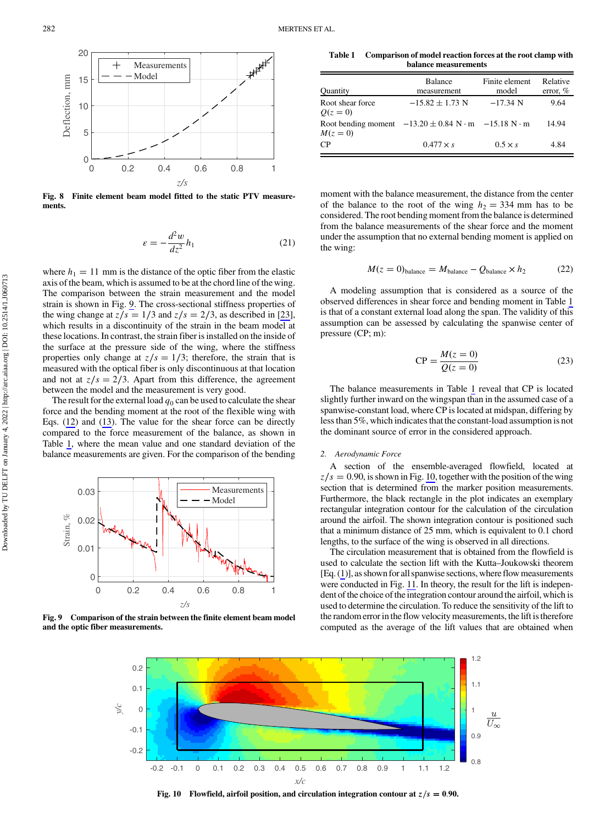<span id="page-7-0"></span>

Fig. 8 Finite element beam model fitted to the static PTV measurements.

$$
\varepsilon = -\frac{d^2 w}{dz^2} h_1 \tag{21}
$$

where  $h_1 = 11$  mm is the distance of the optic fiber from the elastic axis of the beam, which is assumed to be at the chord line of the wing. The comparison between the strain measurement and the model strain is shown in Fig. 9. The cross-sectional stiffness properties of the wing change at  $z/s = 1/3$  and  $z/s = 2/3$ , as described in [\[23](#page-11-0)], which results in a discontinuity of the strain in the beam model at these locations. In contrast, the strain fiber is installed on the inside of the surface at the pressure side of the wing, where the stiffness properties only change at  $z/s = 1/3$ ; therefore, the strain that is measured with the optical fiber is only discontinuous at that location and not at  $z/s = 2/3$ . Apart from this difference, the agreement between the model and the measurement is very good.

The result for the external load  $q_0$  can be used to calculate the shear force and the bending moment at the root of the flexible wing with Eqs. [\(12](#page-3-0)) and ([13\)](#page-3-0). The value for the shear force can be directly compared to the force measurement of the balance, as shown in Table 1, where the mean value and one standard deviation of the balance measurements are given. For the comparison of the bending



Fig. 9 Comparison of the strain between the finite element beam model and the optic fiber measurements.

Table 1 Comparison of model reaction forces at the root clamp with balance measurements

| Quantity                     | <b>Balance</b><br>measurement                                          | Finite element<br>model | Relative<br>error, $%$ |
|------------------------------|------------------------------------------------------------------------|-------------------------|------------------------|
| Root shear force<br>$Q(z=0)$ | $-15.82 + 1.73$ N                                                      | $-17.34$ N              | 9.64                   |
| $M(z=0)$                     | Root bending moment $-13.20 \pm 0.84$ N $\cdot$ m $-15.18$ N $\cdot$ m |                         | 14.94                  |
| CР                           | $0.477 \times s$                                                       | $0.5 \times s$          | 4.84                   |

moment with the balance measurement, the distance from the center of the balance to the root of the wing  $h_2 = 334$  mm has to be considered. The root bending moment from the balance is determined from the balance measurements of the shear force and the moment under the assumption that no external bending moment is applied on the wing:

$$
M(z=0)_{\text{balance}} = M_{\text{balance}} - Q_{\text{balance}} \times h_2 \tag{22}
$$

A modeling assumption that is considered as a source of the observed differences in shear force and bending moment in Table 1 is that of a constant external load along the span. The validity of this assumption can be assessed by calculating the spanwise center of pressure (CP; m):

$$
CP = \frac{M(z=0)}{Q(z=0)}
$$
 (23)

The balance measurements in Table 1 reveal that CP is located slightly further inward on the wingspan than in the assumed case of a spanwise-constant load, where CP is located at midspan, differing by less than 5%, which indicates that the constant-load assumption is not the dominant source of error in the considered approach.

#### 2. Aerodynamic Force

A section of the ensemble-averaged flowfield, located at  $z/s = 0.90$ , is shown in Fig. 10, together with the position of the wing section that is determined from the marker position measurements. Furthermore, the black rectangle in the plot indicates an exemplary rectangular integration contour for the calculation of the circulation around the airfoil. The shown integration contour is positioned such that a minimum distance of 25 mm, which is equivalent to 0.1 chord lengths, to the surface of the wing is observed in all directions.

The circulation measurement that is obtained from the flowfield is used to calculate the section lift with the Kutta–Joukowski theorem [Eq. [\(1\)](#page-2-0)], as shown for all spanwise sections, where flow measurements were conducted in Fig. [11](#page-8-0). In theory, the result for the lift is independent of the choice of the integration contour around the airfoil, which is used to determine the circulation. To reduce the sensitivity of the lift to the random error in the flow velocity measurements, the lift is therefore computed as the average of the lift values that are obtained when

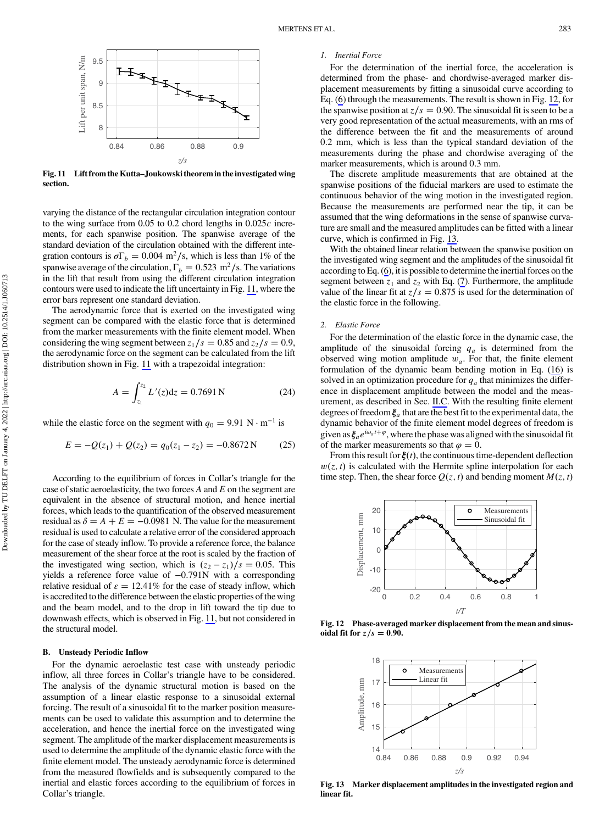<span id="page-8-0"></span>

Fig. 11 Lift from the Kutta–Joukowski theorem in the investigated wing section.

varying the distance of the rectangular circulation integration contour to the wing surface from  $0.05$  to  $0.2$  chord lengths in  $0.025c$  increments, for each spanwise position. The spanwise average of the standard deviation of the circulation obtained with the different integration contours is  $\sigma \Gamma_b = 0.004 \text{ m}^2/\text{s}$ , which is less than 1% of the spanwise average of the circulation,  $\Gamma_b = 0.523 \text{ m}^2/\text{s}$ . The variations in the lift that result from using the different circulation integration contours were used to indicate the lift uncertainty in Fig. 11, where the error bars represent one standard deviation.

The aerodynamic force that is exerted on the investigated wing segment can be compared with the elastic force that is determined from the marker measurements with the finite element model. When considering the wing segment between  $z_1/s = 0.85$  and  $z_2/s = 0.9$ , the aerodynamic force on the segment can be calculated from the lift distribution shown in Fig. 11 with a trapezoidal integration:

$$
A = \int_{z_1}^{z_2} L'(z) dz = 0.7691 \,\mathrm{N} \tag{24}
$$

while the elastic force on the segment with  $q_0 = 9.91 \text{ N} \cdot \text{m}^{-1}$  is

$$
E = -Q(z_1) + Q(z_2) = q_0(z_1 - z_2) = -0.8672 \,\text{N} \tag{25}
$$

According to the equilibrium of forces in Collar's triangle for the case of static aeroelasticity, the two forces  $A$  and  $E$  on the segment are equivalent in the absence of structural motion, and hence inertial forces, which leads to the quantification of the observed measurement residual as  $\delta = A + E = -0.0981$  N. The value for the measurement residual is used to calculate a relative error of the considered approach for the case of steady inflow. To provide a reference force, the balance measurement of the shear force at the root is scaled by the fraction of the investigated wing section, which is  $(z_2 - z_1)/s = 0.05$ . This yields a reference force value of −0.791N with a corresponding relative residual of  $\varepsilon = 12.41\%$  for the case of steady inflow, which is accredited to the difference between the elastic properties of the wing and the beam model, and to the drop in lift toward the tip due to downwash effects, which is observed in Fig. 11, but not considered in the structural model.

### B. Unsteady Periodic Inflow

For the dynamic aeroelastic test case with unsteady periodic inflow, all three forces in Collar's triangle have to be considered. The analysis of the dynamic structural motion is based on the assumption of a linear elastic response to a sinusoidal external forcing. The result of a sinusoidal fit to the marker position measurements can be used to validate this assumption and to determine the acceleration, and hence the inertial force on the investigated wing segment. The amplitude of the marker displacement measurements is used to determine the amplitude of the dynamic elastic force with the finite element model. The unsteady aerodynamic force is determined from the measured flowfields and is subsequently compared to the inertial and elastic forces according to the equilibrium of forces in Collar's triangle.

## 1. Inertial Force

For the determination of the inertial force, the acceleration is determined from the phase- and chordwise-averaged marker displacement measurements by fitting a sinusoidal curve according to Eq. [\(6\)](#page-3-0) through the measurements. The result is shown in Fig. 12, for the spanwise position at  $z/s = 0.90$ . The sinusoidal fit is seen to be a very good representation of the actual measurements, with an rms of the difference between the fit and the measurements of around 0.2 mm, which is less than the typical standard deviation of the measurements during the phase and chordwise averaging of the marker measurements, which is around 0.3 mm.

The discrete amplitude measurements that are obtained at the spanwise positions of the fiducial markers are used to estimate the continuous behavior of the wing motion in the investigated region. Because the measurements are performed near the tip, it can be assumed that the wing deformations in the sense of spanwise curvature are small and the measured amplitudes can be fitted with a linear curve, which is confirmed in Fig. 13.

With the obtained linear relation between the spanwise position on the investigated wing segment and the amplitudes of the sinusoidal fit according to Eq. ([6](#page-3-0)), it is possible to determine the inertial forces on the segment between  $z_1$  and  $z_2$  with Eq. [\(7\)](#page-3-0). Furthermore, the amplitude value of the linear fit at  $z/s = 0.875$  is used for the determination of the elastic force in the following.

### 2. Elastic Force

For the determination of the elastic force in the dynamic case, the amplitude of the sinusoidal forcing  $q_a$  is determined from the observed wing motion amplitude  $w_a$ . For that, the finite element formulation of the dynamic beam bending motion in Eq. [\(16](#page-3-0)) is solved in an optimization procedure for  $q_a$  that minimizes the difference in displacement amplitude between the model and the measurement, as described in Sec. [II.C.](#page-3-0) With the resulting finite element degrees of freedom  $\xi_a$  that are the best fit to the experimental data, the dynamic behavior of the finite element model degrees of freedom is given as  $\xi_a e^{i\omega_s t + \varphi}$ , where the phase was aligned with the sinusoidal fit of the marker measurements so that  $\varphi = 0$ .

From this result for  $\xi(t)$ , the continuous time-dependent deflection  $w(z, t)$  is calculated with the Hermite spline interpolation for each time step. Then, the shear force  $Q(z, t)$  and bending moment  $M(z, t)$ 



Fig. 12 Phase-averaged marker displacement from the mean and sinusoidal fit for  $z/s = 0.90$ .



Fig. 13 Marker displacement amplitudes in the investigated region and linear fit.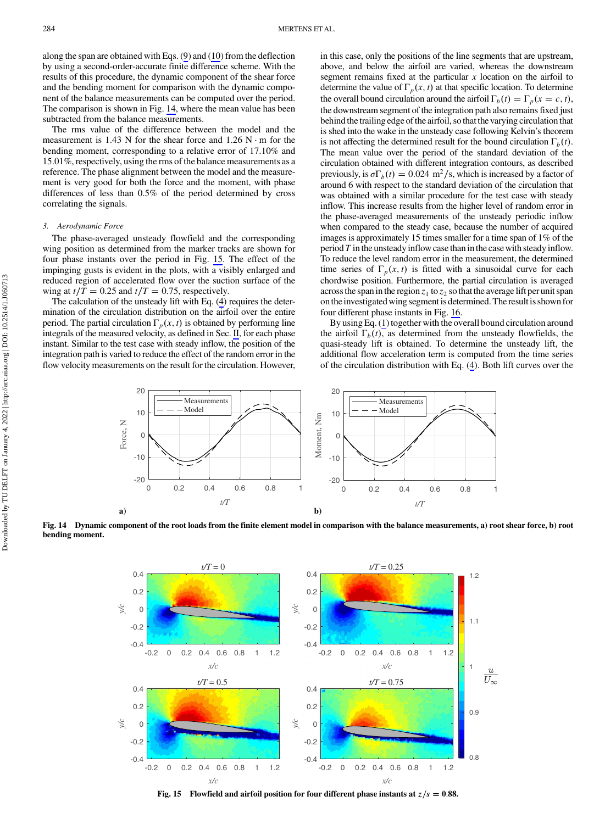along the span are obtained with Eqs. [\(9\)](#page-3-0) and ([10](#page-3-0)) from the deflection by using a second-order-accurate finite difference scheme. With the results of this procedure, the dynamic component of the shear force and the bending moment for comparison with the dynamic component of the balance measurements can be computed over the period. The comparison is shown in Fig. 14, where the mean value has been subtracted from the balance measurements.

The rms value of the difference between the model and the measurement is 1.43 N for the shear force and  $1.26$  N ⋅ m for the bending moment, corresponding to a relative error of 17.10% and 15.01%, respectively, using the rms of the balance measurements as a reference. The phase alignment between the model and the measurement is very good for both the force and the moment, with phase differences of less than 0.5% of the period determined by cross correlating the signals.

## 3. Aerodynamic Force

The phase-averaged unsteady flowfield and the corresponding wing position as determined from the marker tracks are shown for four phase instants over the period in Fig. 15. The effect of the impinging gusts is evident in the plots, with a visibly enlarged and reduced region of accelerated flow over the suction surface of the wing at  $t/T = 0.25$  and  $t/T = 0.75$ , respectively.

The calculation of the unsteady lift with Eq. [\(4](#page-2-0)) requires the determination of the circulation distribution on the airfoil over the entire period. The partial circulation  $\Gamma_p(x, t)$  is obtained by performing line integrals of the measured velocity, as defined in Sec. [II](#page-2-0), for each phase instant. Similar to the test case with steady inflow, the position of the integration path is varied to reduce the effect of the random error in the flow velocity measurements on the result for the circulation. However, in this case, only the positions of the line segments that are upstream, above, and below the airfoil are varied, whereas the downstream segment remains fixed at the particular  $x$  location on the airfoil to determine the value of  $\Gamma_p(x, t)$  at that specific location. To determine the overall bound circulation around the airfoil  $\Gamma_b(t) = \Gamma_p(x = c, t)$ , the downstream segment of the integration path also remains fixed just behind the trailing edge of the airfoil, so that the varying circulation that is shed into the wake in the unsteady case following Kelvin's theorem is not affecting the determined result for the bound circulation  $\Gamma_b(t)$ . The mean value over the period of the standard deviation of the circulation obtained with different integration contours, as described previously, is  $\sigma \Gamma_b(t) = 0.024 \text{ m}^2/\text{s}$ , which is increased by a factor of around 6 with respect to the standard deviation of the circulation that was obtained with a similar procedure for the test case with steady inflow. This increase results from the higher level of random error in the phase-averaged measurements of the unsteady periodic inflow when compared to the steady case, because the number of acquired images is approximately 15 times smaller for a time span of 1% of the period  $T$  in the unsteady inflow case than in the case with steady inflow. To reduce the level random error in the measurement, the determined time series of  $\Gamma_p(x, t)$  is fitted with a sinusoidal curve for each chordwise position. Furthermore, the partial circulation is averaged across the span in the region  $z_1$  to  $z_2$  so that the average lift per unit span onthe investigated wing segment is determined. The result is shown for four different phase instants in Fig. [16](#page-10-0).

By using Eq. [\(1\)](#page-2-0) together with the overall bound circulation around the airfoil  $\Gamma_b(t)$ , as determined from the unsteady flowfields, the quasi-steady lift is obtained. To determine the unsteady lift, the additional flow acceleration term is computed from the time series of the circulation distribution with Eq. [\(4\)](#page-2-0). Both lift curves over the



Fig. 14 Dynamic component of the root loads from the finite element model in comparison with the balance measurements, a) root shear force, b) root bending moment.



Fig. 15 Flowfield and airfoil position for four different phase instants at  $z/s = 0.88$ .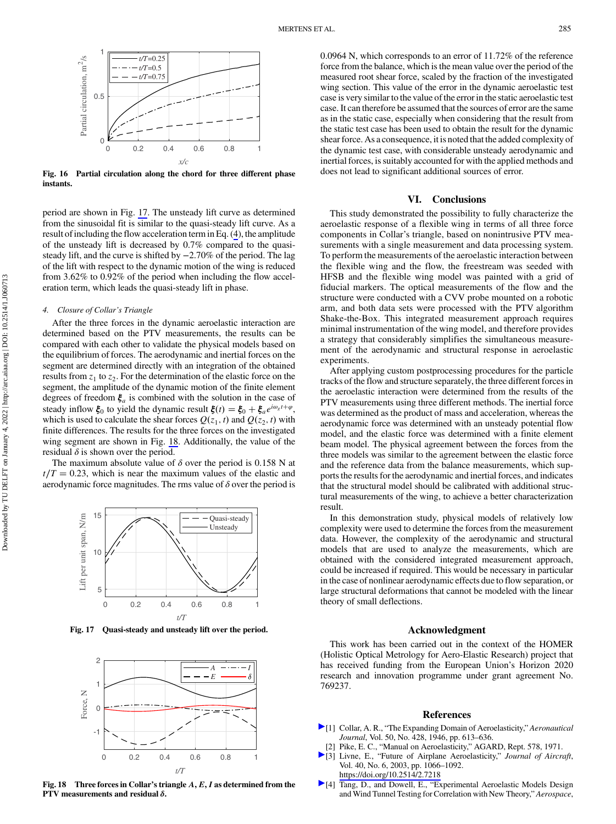<span id="page-10-0"></span>

Fig. 16 Partial circulation along the chord for three different phase instants.

period are shown in Fig. 17. The unsteady lift curve as determined from the sinusoidal fit is similar to the quasi-steady lift curve. As a result of including the flow acceleration term in Eq. ([4](#page-2-0)), the amplitude of the unsteady lift is decreased by 0.7% compared to the quasisteady lift, and the curve is shifted by −2.70% of the period. The lag of the lift with respect to the dynamic motion of the wing is reduced from 3.62% to 0.92% of the period when including the flow acceleration term, which leads the quasi-steady lift in phase.

#### 4. Closure of Collar's Triangle

After the three forces in the dynamic aeroelastic interaction are determined based on the PTV measurements, the results can be compared with each other to validate the physical models based on the equilibrium of forces. The aerodynamic and inertial forces on the segment are determined directly with an integration of the obtained results from  $z_1$  to  $z_2$ . For the determination of the elastic force on the segment, the amplitude of the dynamic motion of the finite element degrees of freedom  $\xi_a$  is combined with the solution in the case of steady inflow  $\xi_0$  to yield the dynamic result  $\xi(t) = \xi_0 + \xi_a e^{i\omega_g t + \varphi}$ , which is used to calculate the shear forces  $Q(z_1, t)$  and  $Q(z_2, t)$  with finite differences. The results for the three forces on the investigated wing segment are shown in Fig. 18. Additionally, the value of the residual  $\delta$  is shown over the period.

The maximum absolute value of  $\delta$  over the period is 0.158 N at  $t/T = 0.23$ , which is near the maximum values of the elastic and aerodynamic force magnitudes. The rms value of  $\delta$  over the period is



Fig. 17 Quasi-steady and unsteady lift over the period.



Fig. 18 Three forces in Collar's triangle  $A, E, I$  as determined from the PTV measurements and residual  $\delta$ .

0.0964 N, which corresponds to an error of 11.72% of the reference force from the balance, which is the mean value over the period of the measured root shear force, scaled by the fraction of the investigated wing section. This value of the error in the dynamic aeroelastic test case is very similar to the value of the error in the static aeroelastic test case. It can therefore be assumed that the sources of error are the same as in the static case, especially when considering that the result from the static test case has been used to obtain the result for the dynamic shear force. As a consequence, it is noted that the added complexity of the dynamic test case, with considerable unsteady aerodynamic and inertial forces, is suitably accounted for with the applied methods and does not lead to significant additional sources of error.

## VI. Conclusions

This study demonstrated the possibility to fully characterize the aeroelastic response of a flexible wing in terms of all three force components in Collar's triangle, based on nonintrusive PTV measurements with a single measurement and data processing system. To perform the measurements of the aeroelastic interaction between the flexible wing and the flow, the freestream was seeded with HFSB and the flexible wing model was painted with a grid of fiducial markers. The optical measurements of the flow and the structure were conducted with a CVV probe mounted on a robotic arm, and both data sets were processed with the PTV algorithm Shake-the-Box. This integrated measurement approach requires minimal instrumentation of the wing model, and therefore provides a strategy that considerably simplifies the simultaneous measurement of the aerodynamic and structural response in aeroelastic experiments.

After applying custom postprocessing procedures for the particle tracks of the flow and structure separately, the three different forces in the aeroelastic interaction were determined from the results of the PTV measurements using three different methods. The inertial force was determined as the product of mass and acceleration, whereas the aerodynamic force was determined with an unsteady potential flow model, and the elastic force was determined with a finite element beam model. The physical agreement between the forces from the three models was similar to the agreement between the elastic force and the reference data from the balance measurements, which supports the results for the aerodynamic and inertial forces, and indicates that the structural model should be calibrated with additional structural measurements of the wing, to achieve a better characterization result.

In this demonstration study, physical models of relatively low complexity were used to determine the forces from the measurement data. However, the complexity of the aerodynamic and structural models that are used to analyze the measurements, which are obtained with the considered integrated measurement approach, could be increased if required. This would be necessary in particular in the case of nonlinear aerodynamic effects due to flow separation, or large structural deformations that cannot be modeled with the linear theory of small deflections.

### Acknowledgment

This work has been carried out in the context of the HOMER (Holistic Optical Metrology for Aero-Elastic Research) project that has received funding from the European Union's Horizon 2020 research and innovation programme under grant agreement No. 769237.

### References

- [1] Collar, A. R., "The Expanding Domain of Aeroelasticity," Aeronautical Journal, Vol. 50, No. 428, 1946, pp. 613–636.
- [2] Pike, E. C., "Manual on Aeroelasticity," AGARD, Rept. 578, 1971.
- [3] Livne, E., "Future of Airplane Aeroelasticity," Journal of Aircraft, Vol. 40, No. 6, 2003, pp. 1066–1092. <https://doi.org/10.2514/2.7218>
- [4] Tang, D., and Dowell, E., "Experimental Aeroelastic Models Design and Wind Tunnel Testing for Correlation with New Theory," Aerospace,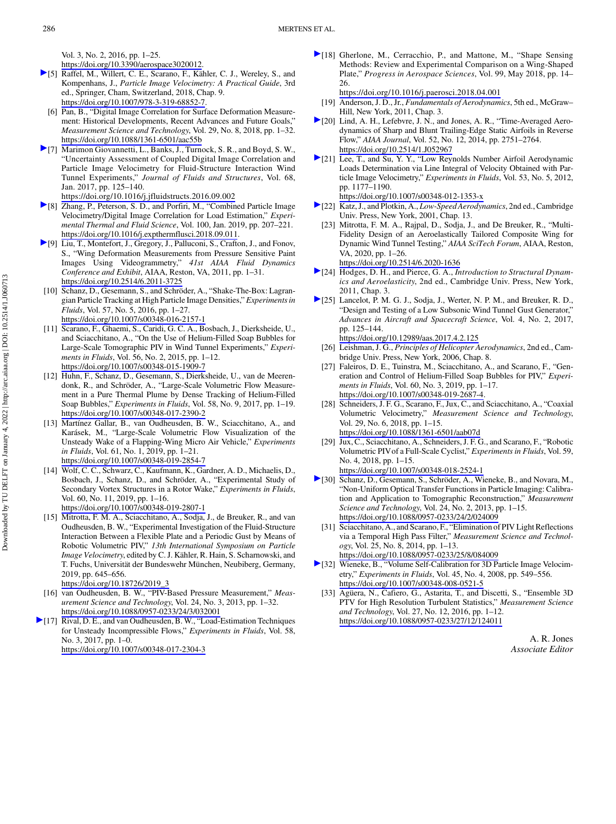[https://doi.org/10.3390/aerospace3020012.](https://doi.org/10.3390/aerospace3020012)

- <span id="page-11-0"></span>[5] Raffel, M., Willert, C. E., Scarano, F., Kähler, C. J., Wereley, S., and Kompenhans, J., Particle Image Velocimetry: A Practical Guide, 3rd ed., Springer, Cham, Switzerland, 2018, Chap. 9. [https://doi.org/10.1007/978-3-319-68852-7.](https://doi.org/10.1007/978-3-319-68852-7)
- [6] Pan, B., "Digital Image Correlation for Surface Deformation Measurement: Historical Developments, Recent Advances and Future Goals," Measurement Science and Technology, Vol. 29, No. 8, 2018, pp. 1–32. <https://doi.org/10.1088/1361-6501/aac55b>
- [7] Marimon Giovannetti, L., Banks, J., Turnock, S. R., and Boyd, S. W., "Uncertainty Assessment of Coupled Digital Image Correlation and Particle Image Velocimetry for Fluid-Structure Interaction Wind Tunnel Experiments," Journal of Fluids and Structures, Vol. 68, Jan. 2017, pp. 125–140.
- <https://doi.org/10.1016/j.jfluidstructs.2016.09.002> [8] Zhang, P., Peterson, S. D., and Porfiri, M., "Combined Particle Image
- Velocimetry/Digital Image Correlation for Load Estimation," Experimental Thermal and Fluid Science, Vol. 100, Jan. 2019, pp. 207–221. [https://doi.org/10.1016/j.expthermflusci.2018.09.011.](https://doi.org/10.1016/j.expthermflusci.2018.09.011)
- [9] Liu, T., Montefort, J., Gregory, J., Palluconi, S., Crafton, J., and Fonov, S., "Wing Deformation Measurements from Pressure Sensitive Paint Images Using Videogrammetry," 41st AIAA Fluid Dynamics Conference and Exhibit, AIAA, Reston, VA, 2011, pp. 1–31. <https://doi.org/10.2514/6.2011-3725>
- [10] Schanz, D., Gesemann, S., and Schröder, A., "Shake-The-Box: Lagrangian Particle Tracking at High Particle Image Densities," Experiments in Fluids, Vol. 57, No. 5, 2016, pp. 1–27. <https://doi.org/10.1007/s00348-016-2157-1>
- [11] Scarano, F., Ghaemi, S., Caridi, G. C. A., Bosbach, J., Dierksheide, U., and Sciacchitano, A., "On the Use of Helium-Filled Soap Bubbles for Large-Scale Tomographic PIV in Wind Tunnel Experiments," Experiments in Fluids, Vol. 56, No. 2, 2015, pp. 1–12. <https://doi.org/10.1007/s00348-015-1909-7>
- [12] Huhn, F., Schanz, D., Gesemann, S., Dierksheide, U., van de Meerendonk, R., and Schröder, A., "Large-Scale Volumetric Flow Measurement in a Pure Thermal Plume by Dense Tracking of Helium-Filled Soap Bubbles," Experiments in Fluids, Vol. 58, No. 9, 2017, pp. 1–19. <https://doi.org/10.1007/s00348-017-2390-2>
- [13] Martínez Gallar, B., van Oudheusden, B. W., Sciacchitano, A., and Karásek, M., "Large-Scale Volumetric Flow Visualization of the Unsteady Wake of a Flapping-Wing Micro Air Vehicle," Experiments in Fluids, Vol. 61, No. 1, 2019, pp. 1–21. <https://doi.org/10.1007/s00348-019-2854-7>
- [14] Wolf, C. C., Schwarz, C., Kaufmann, K., Gardner, A. D., Michaelis, D., Bosbach, J., Schanz, D., and Schröder, A., "Experimental Study of Secondary Vortex Structures in a Rotor Wake," Experiments in Fluids, Vol. 60, No. 11, 2019, pp. 1–16. <https://doi.org/10.1007/s00348-019-2807-1>
- [15] Mitrotta, F. M. A., Sciacchitano, A., Sodja, J., de Breuker, R., and van Oudheusden, B. W., "Experimental Investigation of the Fluid-Structure Interaction Between a Flexible Plate and a Periodic Gust by Means of Robotic Volumetric PIV," 13th International Symposium on Particle Image Velocimetry, edited by C. J. Kähler, R. Hain, S. Scharnowski, and T. Fuchs, Universität der Bundeswehr München, Neubiberg, Germany, 2019, pp. 645–656. [https://doi.org/10.18726/2019\\_3](https://doi.org/10.18726/2019_3)
- [16] van Oudheusden, B. W., "PIV-Based Pressure Measurement," Measurement Science and Technology, Vol. 24, No. 3, 2013, pp. 1–32. <https://doi.org/10.1088/0957-0233/24/3/032001>
- [17] Rival, D. E., and van Oudheusden, B. W., "Load-Estimation Techniques for Unsteady Incompressible Flows," Experiments in Fluids, Vol. 58, No. 3, 2017, pp. 1–0. <https://doi.org/10.1007/s00348-017-2304-3>

[18] Gherlone, M., Cerracchio, P., and Mattone, M., "Shape Sensing Methods: Review and Experimental Comparison on a Wing-Shaped Plate," Progress in Aerospace Sciences, Vol. 99, May 2018, pp. 14– 26.

<https://doi.org/10.1016/j.paerosci.2018.04.001>

- [19] Anderson, J. D., Jr., Fundamentals of Aerodynamics, 5th ed., McGraw-Hill, New York, 2011, Chap. 3.
- [20] Lind, A. H., Lefebvre, J. N., and Jones, A. R., "Time-Averaged Aerodynamics of Sharp and Blunt Trailing-Edge Static Airfoils in Reverse Flow," AIAA Journal, Vol. 52, No. 12, 2014, pp. 2751–2764. <https://doi.org/10.2514/1.J052967>
- [21] Lee, T., and Su, Y. Y., "Low Reynolds Number Airfoil Aerodynamic Loads Determination via Line Integral of Velocity Obtained with Particle Image Velocimetry," Experiments in Fluids, Vol. 53, No. 5, 2012, pp. 1177–1190.

<https://doi.org/10.1007/s00348-012-1353-x>

- [22] Katz, J., and Plotkin, A., Low-Speed Aerodynamics, 2nd ed., Cambridge Univ. Press, New York, 2001, Chap. 13.
	- [23] Mitrotta, F. M. A., Rajpal, D., Sodja, J., and De Breuker, R., "Multi-Fidelity Design of an Aeroelastically Tailored Composite Wing for Dynamic Wind Tunnel Testing," AIAA SciTech Forum, AIAA, Reston, VA, 2020, pp. 1–26. <https://doi.org/10.2514/6.2020-1636>

[24] Hodges, D. H., and Pierce, G. A., *Introduction to Structural Dynam*ics and Aeroelasticity, 2nd ed., Cambridge Univ. Press, New York,

2011, Chap. 3. [25] Lancelot, P. M. G. J., Sodja, J., Werter, N. P. M., and Breuker, R. D., "Design and Testing of a Low Subsonic Wind Tunnel Gust Generator," Advances in Aircraft and Spacecraft Science, Vol. 4, No. 2, 2017, pp. 125–144.

<https://doi.org/10.12989/aas.2017.4.2.125>

- [26] Leishman, J. G., Principles of Helicopter Aerodynamics, 2nd ed., Cambridge Univ. Press, New York, 2006, Chap. 8.
- [27] Faleiros, D. E., Tuinstra, M., Sciacchitano, A., and Scarano, F., "Generation and Control of Helium-Filled Soap Bubbles for PIV," Experiments in Fluids, Vol. 60, No. 3, 2019, pp. 1–17. <https://doi.org/10.1007/s00348-019-2687-4>.
- [28] Schneiders, J. F. G., Scarano, F., Jux, C., and Sciacchitano, A., "Coaxial Volumetric Velocimetry," Measurement Science and Technology, Vol. 29, No. 6, 2018, pp. 1–15. <https://doi.org/10.1088/1361-6501/aab07d>
- [29] Jux, C., Sciacchitano, A., Schneiders, J. F. G., and Scarano, F., "Robotic Volumetric PIVof a Full-Scale Cyclist," Experiments in Fluids, Vol. 59, No. 4, 2018, pp. 1–15. <https://doi.org/10.1007/s00348-018-2524-1>
- [30] Schanz, D., Gesemann, S., Schröder, A., Wieneke, B., and Novara, M., "Non-Uniform Optical Transfer Functions in Particle Imaging: Calibration and Application to Tomographic Reconstruction," Measurement Science and Technology, Vol. 24, No. 2, 2013, pp. 1–15. <https://doi.org/10.1088/0957-0233/24/2/024009>
- [31] Sciacchitano, A., and Scarano, F., "Elimination of PIV Light Reflections via a Temporal High Pass Filter," Measurement Science and Technology, Vol. 25, No. 8, 2014, pp. 1–13. <https://doi.org/10.1088/0957-0233/25/8/084009>
- [32] Wieneke, B., "Volume Self-Calibration for 3D Particle Image Velocimetry," Experiments in Fluids, Vol. 45, No. 4, 2008, pp. 549–556. <https://doi.org/10.1007/s00348-008-0521-5>
- [33] Agüera, N., Cafiero, G., Astarita, T., and Discetti, S., "Ensemble 3D PTV for High Resolution Turbulent Statistics," Measurement Science and Technology, Vol. 27, No. 12, 2016, pp. 1–12. <https://doi.org/10.1088/0957-0233/27/12/124011>

A. R. Jones Associate Editor